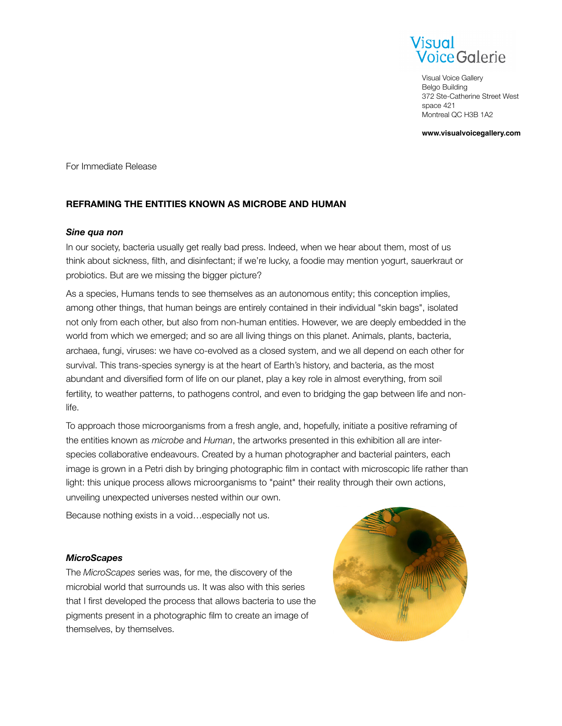

Visual Voice Gallery Belgo Building 372 Ste-Catherine Street West space 421 Montreal QC H3B 1A2

**www.visualvoicegallery.com**

For Immediate Release

# **REFRAMING THE ENTITIES KNOWN AS MICROBE AND HUMAN**

#### *Sine qua non*

In our society, bacteria usually get really bad press. Indeed, when we hear about them, most of us think about sickness, filth, and disinfectant; if we're lucky, a foodie may mention yogurt, sauerkraut or probiotics. But are we missing the bigger picture?

As a species, Humans tends to see themselves as an autonomous entity; this conception implies, among other things, that human beings are entirely contained in their individual "skin bags", isolated not only from each other, but also from non-human entities. However, we are deeply embedded in the world from which we emerged; and so are all living things on this planet. Animals, plants, bacteria, archaea, fungi, viruses: we have co-evolved as a closed system, and we all depend on each other for survival. This trans-species synergy is at the heart of Earth's history, and bacteria, as the most abundant and diversified form of life on our planet, play a key role in almost everything, from soil fertility, to weather patterns, to pathogens control, and even to bridging the gap between life and nonlife.

To approach those microorganisms from a fresh angle, and, hopefully, initiate a positive reframing of the entities known as *microbe* and *Human*, the artworks presented in this exhibition all are interspecies collaborative endeavours. Created by a human photographer and bacterial painters, each image is grown in a Petri dish by bringing photographic film in contact with microscopic life rather than light: this unique process allows microorganisms to "paint" their reality through their own actions, unveiling unexpected universes nested within our own.

Because nothing exists in a void…especially not us.

### *MicroScapes*

The *MicroScapes* series was, for me, the discovery of the microbial world that surrounds us. It was also with this series that I first developed the process that allows bacteria to use the pigments present in a photographic film to create an image of themselves, by themselves.

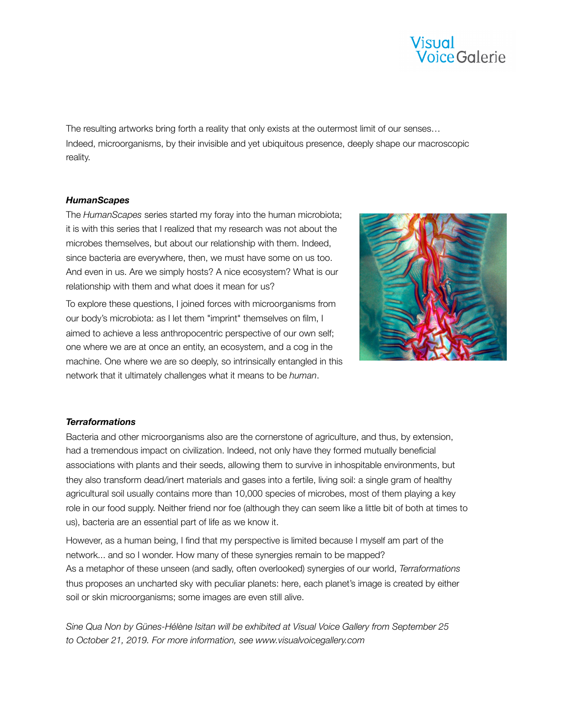

The resulting artworks bring forth a reality that only exists at the outermost limit of our senses… Indeed, microorganisms, by their invisible and yet ubiquitous presence, deeply shape our macroscopic reality.

### *HumanScapes*

The *HumanScapes* series started my foray into the human microbiota; it is with this series that I realized that my research was not about the microbes themselves, but about our relationship with them. Indeed, since bacteria are everywhere, then, we must have some on us too. And even in us. Are we simply hosts? A nice ecosystem? What is our relationship with them and what does it mean for us?

To explore these questions, I joined forces with microorganisms from our body's microbiota: as I let them "imprint" themselves on film, I aimed to achieve a less anthropocentric perspective of our own self; one where we are at once an entity, an ecosystem, and a cog in the machine. One where we are so deeply, so intrinsically entangled in this network that it ultimately challenges what it means to be *human*.



### *Terraformations*

Bacteria and other microorganisms also are the cornerstone of agriculture, and thus, by extension, had a tremendous impact on civilization. Indeed, not only have they formed mutually beneficial associations with plants and their seeds, allowing them to survive in inhospitable environments, but they also transform dead/inert materials and gases into a fertile, living soil: a single gram of healthy agricultural soil usually contains more than 10,000 species of microbes, most of them playing a key role in our food supply. Neither friend nor foe (although they can seem like a little bit of both at times to us), bacteria are an essential part of life as we know it.

However, as a human being, I find that my perspective is limited because I myself am part of the network... and so I wonder. How many of these synergies remain to be mapped? As a metaphor of these unseen (and sadly, often overlooked) synergies of our world, *Terraformations* thus proposes an uncharted sky with peculiar planets: here, each planet's image is created by either soil or skin microorganisms; some images are even still alive.

*Sine Qua Non by Günes-Hélène Isitan will be exhibited at Visual Voice Gallery from September 25 to October 21, 2019. For more information, see www.visualvoicegallery.com*